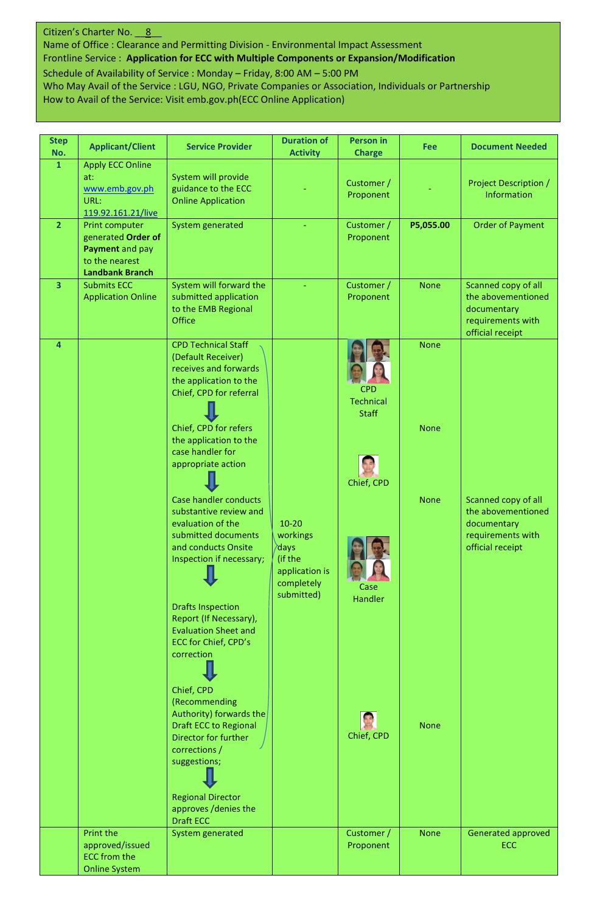## Citizen's Charter No. 8

Name of Office : Clearance and Permitting Division - Environmental Impact Assessment Frontline Service : **Application for ECC with Multiple Components or Expansion/Modification** Schedule of Availability of Service : Monday – Friday, 8:00 AM – 5:00 PM

Who May Avail of the Service : LGU, NGO, Private Companies or Association, Individuals or Partnership How to Avail of the Service: Visit emb.gov.ph(ECC Online Application)

| <b>Step</b><br>No.      | <b>Applicant/Client</b>                                                                             | <b>Service Provider</b>                                                                                                                             | <b>Duration of</b><br><b>Activity</b>                                                  | <b>Person in</b><br><b>Charge</b>       | <b>Fee</b>  | <b>Document Needed</b>                                                                            |
|-------------------------|-----------------------------------------------------------------------------------------------------|-----------------------------------------------------------------------------------------------------------------------------------------------------|----------------------------------------------------------------------------------------|-----------------------------------------|-------------|---------------------------------------------------------------------------------------------------|
| $\mathbf{1}$            | <b>Apply ECC Online</b><br>at:<br>www.emb.gov.ph<br>URL:<br>119.92.161.21/live                      | System will provide<br>guidance to the ECC<br><b>Online Application</b>                                                                             |                                                                                        | Customer /<br>Proponent                 |             | <b>Project Description /</b><br><b>Information</b>                                                |
| $\overline{2}$          | Print computer<br>generated Order of<br>Payment and pay<br>to the nearest<br><b>Landbank Branch</b> | System generated                                                                                                                                    |                                                                                        | Customer /<br>Proponent                 | P5,055.00   | <b>Order of Payment</b>                                                                           |
| $\overline{\mathbf{3}}$ | <b>Submits ECC</b><br><b>Application Online</b>                                                     | System will forward the<br>submitted application<br>to the EMB Regional<br><b>Office</b>                                                            |                                                                                        | Customer /<br>Proponent                 | <b>None</b> | Scanned copy of all<br>the abovementioned<br>documentary<br>requirements with<br>official receipt |
| 4                       |                                                                                                     | <b>CPD Technical Staff</b><br>(Default Receiver)<br>receives and forwards<br>the application to the<br>Chief, CPD for referral                      |                                                                                        | CPD<br><b>Technical</b><br><b>Staff</b> | <b>None</b> |                                                                                                   |
|                         |                                                                                                     | Chief, CPD for refers<br>the application to the<br>case handler for<br>appropriate action                                                           |                                                                                        | Chief, CPD                              | <b>None</b> |                                                                                                   |
|                         |                                                                                                     | Case handler conducts<br>substantive review and<br>evaluation of the<br>submitted documents<br>and conducts Onsite<br>Inspection if necessary;<br>п | $10 - 20$<br>workings<br>days<br>(if the<br>application is<br>completely<br>submitted) | Case                                    | <b>None</b> | Scanned copy of all<br>the abovementioned<br>documentary<br>requirements with<br>official receipt |
|                         |                                                                                                     | <b>Drafts Inspection</b><br>Report (If Necessary),<br><b>Evaluation Sheet and</b><br>ECC for Chief, CPD's<br>correction                             |                                                                                        | Handler                                 |             |                                                                                                   |
|                         |                                                                                                     | Chief, CPD<br>(Recommending<br>Authority) forwards the<br><b>Draft ECC to Regional</b><br>Director for further<br>corrections /<br>suggestions;     |                                                                                        | Chief, CPD                              | <b>None</b> |                                                                                                   |
|                         |                                                                                                     | <b>Regional Director</b><br>approves /denies the<br><b>Draft ECC</b>                                                                                |                                                                                        |                                         |             |                                                                                                   |
|                         | <b>Print the</b><br>approved/issued<br><b>ECC</b> from the<br><b>Online System</b>                  | System generated                                                                                                                                    |                                                                                        | Customer /<br>Proponent                 | <b>None</b> | Generated approved<br>ECC                                                                         |